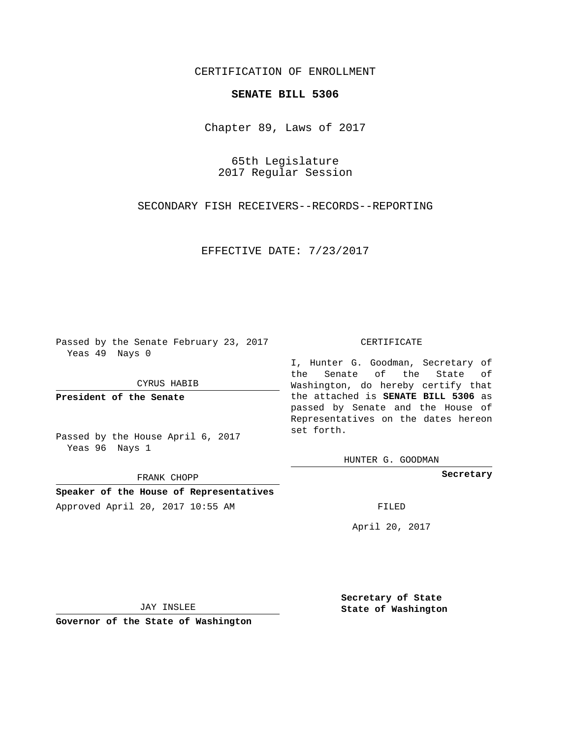## CERTIFICATION OF ENROLLMENT

## **SENATE BILL 5306**

Chapter 89, Laws of 2017

65th Legislature 2017 Regular Session

SECONDARY FISH RECEIVERS--RECORDS--REPORTING

EFFECTIVE DATE: 7/23/2017

Passed by the Senate February 23, 2017 Yeas 49 Nays 0

CYRUS HABIB

**President of the Senate**

Passed by the House April 6, 2017 Yeas 96 Nays 1

FRANK CHOPP

**Speaker of the House of Representatives** Approved April 20, 2017 10:55 AM FILED

## CERTIFICATE

I, Hunter G. Goodman, Secretary of the Senate of the State of Washington, do hereby certify that the attached is **SENATE BILL 5306** as passed by Senate and the House of Representatives on the dates hereon set forth.

HUNTER G. GOODMAN

**Secretary**

April 20, 2017

JAY INSLEE

**Governor of the State of Washington**

**Secretary of State State of Washington**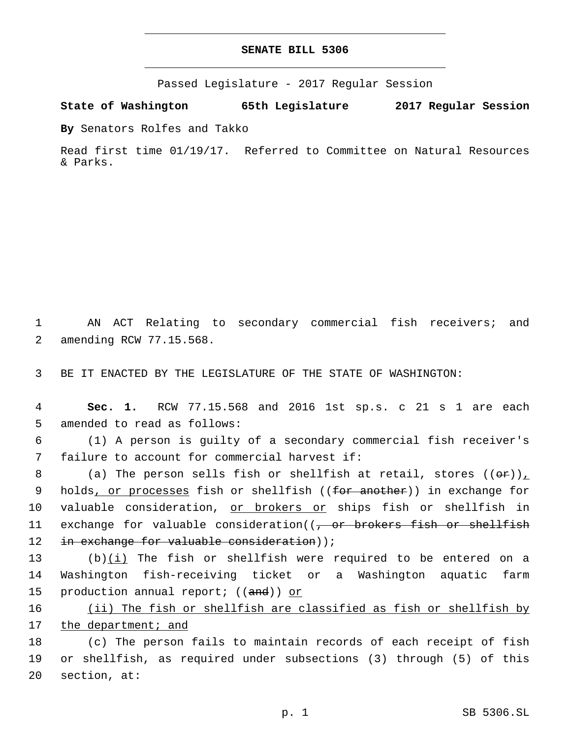## **SENATE BILL 5306**

Passed Legislature - 2017 Regular Session

**State of Washington 65th Legislature 2017 Regular Session**

**By** Senators Rolfes and Takko

Read first time 01/19/17. Referred to Committee on Natural Resources & Parks.

1 AN ACT Relating to secondary commercial fish receivers; and 2 amending RCW 77.15.568.

3 BE IT ENACTED BY THE LEGISLATURE OF THE STATE OF WASHINGTON:

4 **Sec. 1.** RCW 77.15.568 and 2016 1st sp.s. c 21 s 1 are each 5 amended to read as follows:

6 (1) A person is guilty of a secondary commercial fish receiver's 7 failure to account for commercial harvest if:

8 (a) The person sells fish or shellfish at retail, stores  $((\Theta \cdot \mathbf{r}))_L$ 9 holds, or processes fish or shellfish ((for another)) in exchange for 10 valuable consideration, or brokers or ships fish or shellfish in 11 exchange for valuable consideration((<del>, or brokers fish or shellfish</del> 12 in exchange for valuable consideration));

13 (b)(i) The fish or shellfish were required to be entered on a 14 Washington fish-receiving ticket or a Washington aquatic farm 15 production annual report; ((and)) or

16 (ii) The fish or shellfish are classified as fish or shellfish by 17 the department; and

18 (c) The person fails to maintain records of each receipt of fish 19 or shellfish, as required under subsections (3) through (5) of this  $20$  section, at: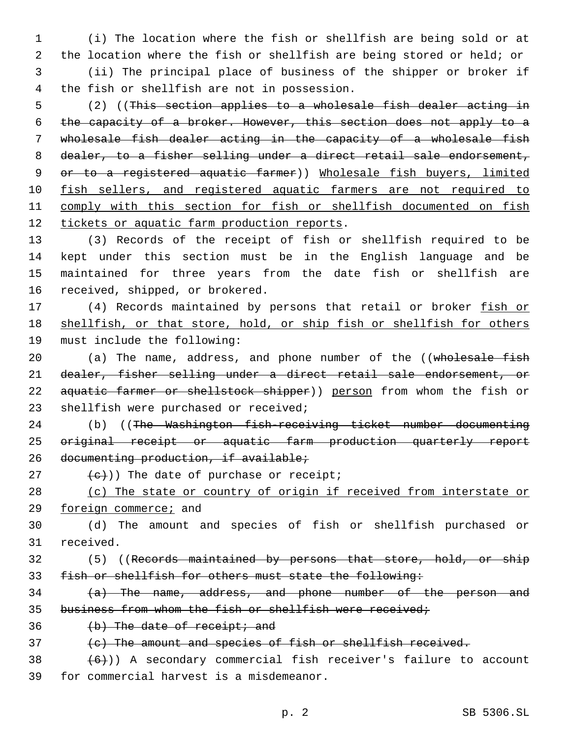1 (i) The location where the fish or shellfish are being sold or at 2 the location where the fish or shellfish are being stored or held; or 3 (ii) The principal place of business of the shipper or broker if

 (2) ((This section applies to a wholesale fish dealer acting in the capacity of a broker. However, this section does not apply to a wholesale fish dealer acting in the capacity of a wholesale fish 8 dealer, to a fisher selling under a direct retail sale endorsement, or to a registered aquatic farmer)) Wholesale fish buyers, limited 10 fish sellers, and registered aquatic farmers are not required to comply with this section for fish or shellfish documented on fish 12 tickets or aquatic farm production reports.

 (3) Records of the receipt of fish or shellfish required to be kept under this section must be in the English language and be maintained for three years from the date fish or shellfish are 16 received, shipped, or brokered.

17 (4) Records maintained by persons that retail or broker fish or 18 shellfish, or that store, hold, or ship fish or shellfish for others 19 must include the following:

20 (a) The name, address, and phone number of the ((wholesale fish 21 dealer, fisher selling under a direct retail sale endorsement, or 22 aquatic farmer or shellstock shipper)) person from whom the fish or 23 shellfish were purchased or received;

24 (b) ((The Washington fish-receiving ticket number documenting 25 original receipt or aquatic farm production quarterly report 26 documenting production, if available;

 $(c)$ )) The date of purchase or receipt;

4 the fish or shellfish are not in possession.

28 (c) The state or country of origin if received from interstate or 29 foreign commerce; and

30 (d) The amount and species of fish or shellfish purchased or 31 received.

32 (5) ((Records maintained by persons that store, hold, or ship 33 fish or shellfish for others must state the following:

34 (a) The name, address, and phone number of the person and 35 business from whom the fish or shellfish were received;

 $36$  (b) The date of receipt; and

37 (c) The amount and species of fish or shellfish received.

 $38$   $(6)$ )) A secondary commercial fish receiver's failure to account 39 for commercial harvest is a misdemeanor.